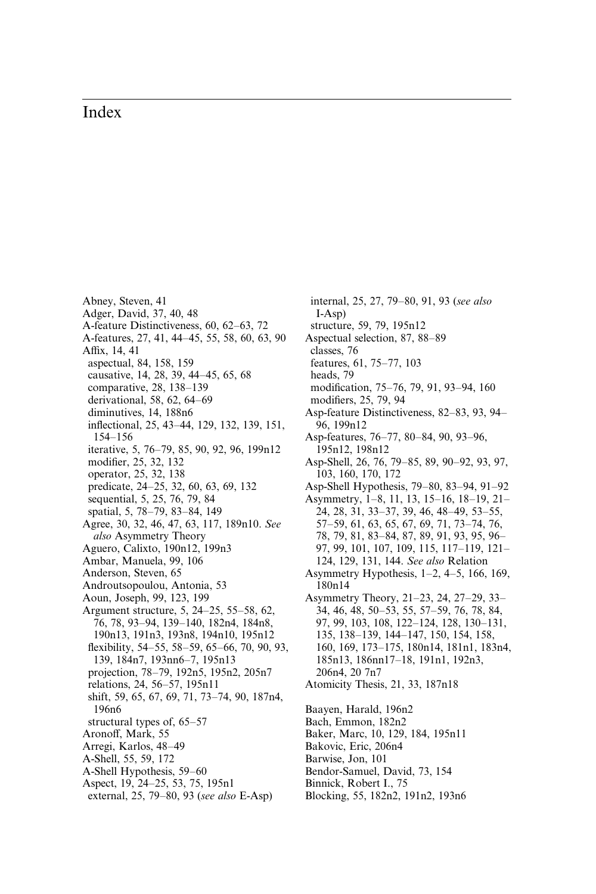## Index

- Abney, Steven, 41 Adger, David, 37, 40, 48 A-feature Distinctiveness, 60, 62–63, 72 A-features, 27, 41, 44–45, 55, 58, 60, 63, 90 Affix, 14, 41 aspectual, 84, 158, 159 causative, 14, 28, 39, 44–45, 65, 68 comparative, 28, 138–139 derivational, 58, 62, 64–69 diminutives, 14, 188n6 inflectional, 25, 43–44, 129, 132, 139, 151, 154–156 iterative, 5, 76–79, 85, 90, 92, 96, 199n12 modifier, 25, 32, 132 operator, 25, 32, 138 predicate, 24–25, 32, 60, 63, 69, 132 sequential, 5, 25, 76, 79, 84 spatial, 5, 78–79, 83–84, 149 Agree, 30, 32, 46, 47, 63, 117, 189n10. See also Asymmetry Theory Aguero, Calixto, 190n12, 199n3 Ambar, Manuela, 99, 106 Anderson, Steven, 65 Androutsopoulou, Antonia, 53 Aoun, Joseph, 99, 123, 199 Argument structure, 5, 24–25, 55–58, 62, 76, 78, 93–94, 139–140, 182n4, 184n8, 190n13, 191n3, 193n8, 194n10, 195n12 flexibility, 54–55, 58–59, 65–66, 70, 90, 93, 139, 184n7, 193nn6–7, 195n13 projection, 78–79, 192n5, 195n2, 205n7 relations, 24, 56–57, 195n11 shift, 59, 65, 67, 69, 71, 73–74, 90, 187n4, 196n6 structural types of, 65–57 Aronoff, Mark, 55 Arregi, Karlos, 48–49 A-Shell, 55, 59, 172 A-Shell Hypothesis, 59–60 Aspect, 19, 24–25, 53, 75, 195n1 external, 25, 79–80, 93 (see also E-Asp)
- I-Asp) structure, 59, 79, 195n12 Aspectual selection, 87, 88–89 classes, 76 features, 61, 75–77, 103 heads, 79 modification, 75–76, 79, 91, 93–94, 160 modifiers, 25, 79, 94 Asp-feature Distinctiveness, 82–83, 93, 94– 96, 199n12 Asp-features, 76–77, 80–84, 90, 93–96, 195n12, 198n12 Asp-Shell, 26, 76, 79–85, 89, 90–92, 93, 97, 103, 160, 170, 172 Asp-Shell Hypothesis, 79–80, 83–94, 91–92 Asymmetry, 1–8, 11, 13, 15–16, 18–19, 21– 24, 28, 31, 33–37, 39, 46, 48–49, 53–55, 57–59, 61, 63, 65, 67, 69, 71, 73–74, 76, 78, 79, 81, 83–84, 87, 89, 91, 93, 95, 96– 97, 99, 101, 107, 109, 115, 117–119, 121– 124, 129, 131, 144. See also Relation [Asymmetry Hypothesis, 1–2, 4–5, 166, 169,](#page--1-0) 180n14 Asymmetry Theory, 21–23, 24, 27–29, 33– 34, 46, 48, 50–53, 55, 57–59, 76, 78, 84, 97, 99, 103, 108, 122–124, 128, 130–131, 135, 138–139, 144–147, 150, 154, 158, 160, 169, 173–175, 180n14, 181n1, 183n4, 185n13, 186nn17–18, 191n1, 192n3, 206n4, 20 7n7 Atomicity Thesis, 21, 33, 187n18 Baayen, Harald, 196n2 Bach, Emmon, 182n2 Baker, Marc, 10, 129, 184, 195n11 Bakovic, Eric, 206n4 Barwise, Jon, 101 Bendor-Samuel, David, 73, 154 Binnick, Robert I., 75

internal, 25, 27, 79–80, 91, 93 (see also

Blocking, 55, 182n2, 191n2, 193n6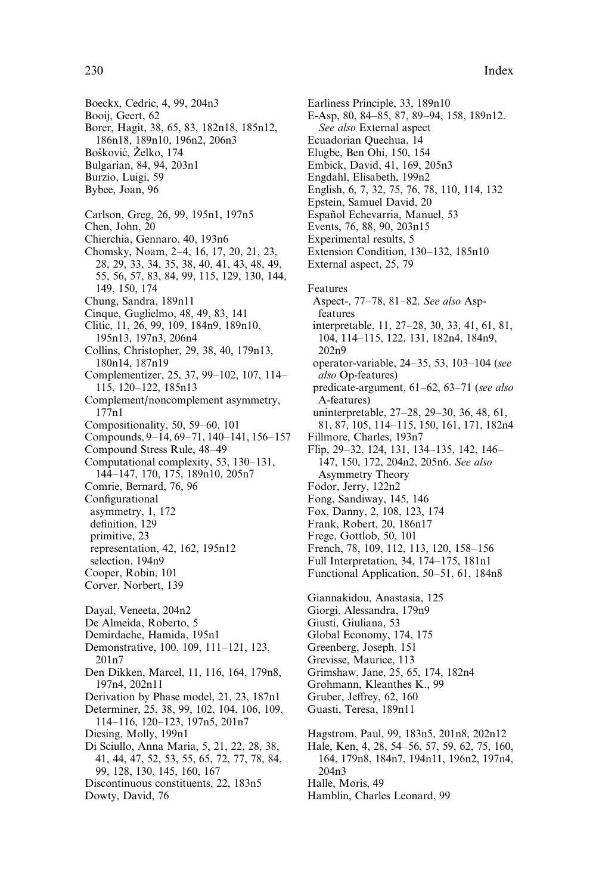Boeckx, Cedric, 4, 99, 204n3 Booij, Geert, 62 Borer, Hagit, 38, 65, 83, 182n18, 185n12, 186n18, 189n10, 196n2, 206n3 Bošković, Želko, 174 Bulgarian, 84, 94, 203n1 Burzio, Luigi, 59 Bybee, Joan, 96 Carlson, Greg, 26, 99, 195n1, 197n5 Chen. John. 20 Chierchia, Gennaro, 40, 193n6 Chomsky, Noam, 2–4, 16, 17, 20, 21, 23, 28, 29, 33, 34, 35, 38, 40, 41, 43, 48, 49, 55, 56, 57, 83, 84, 99, 115, 129, 130, 144, 149, 150, 174 Chung, Sandra, 189n11 Cinque, Guglielmo, 48, 49, 83, 141 Clitic, 11, 26, 99, 109, 184n9, 189n10, 195n13, 197n3, 206n4 Collins, Christopher, 29, 38, 40, 179n13, 180n14, 187n19 Complementizer, 25, 37, 99-102, 107, 114-115, 120-122, 185n13 Complement/noncomplement asymmetry,  $177n1$ Compositionality, 50, 59-60, 101 Compounds, 9-14, 69-71, 140-141, 156-157 Compound Stress Rule, 48-49 Computational complexity, 53, 130-131, 144-147, 170, 175, 189n10, 205n7 Comrie, Bernard, 76, 96 Configurational asymmetry, 1, 172 definition, 129 primitive, 23 representation, 42, 162, 195n12 selection, 194n9 Cooper, Robin, 101 Corver, Norbert, 139 Dayal, Veneeta, 204n2 De Almeida, Roberto, 5 Demirdache, Hamida, 195n1 Demonstrative, 100, 109, 111-121, 123, 201n7 Den Dikken, Marcel, 11, 116, 164, 179n8, 197n4, 202n11 Derivation by Phase model, 21, 23, 187n1 Determiner, 25, 38, 99, 102, 104, 106, 109, 114-116, 120-123, 197n5, 201n7 Diesing, Molly, 199n1 Di Sciullo, Anna Maria, 5, 21, 22, 28, 38, 41, 44, 47, 52, 53, 55, 65, 72, 77, 78, 84, 99, 128, 130, 145, 160, 167 Discontinuous constituents, 22, 183n5 Dowty, David, 76

Earliness Principle, 33, 189n10 E-Asp, 80, 84–85, 87, 89–94, 158, 189n12. See also External aspect Ecuadorian Ouechua, 14 Elugbe, Ben Ohi, 150, 154 Embick, David, 41, 169, 205n3 Engdahl, Elisabeth, 199n2 English, 6, 7, 32, 75, 76, 78, 110, 114, 132 Epstein, Samuel David, 20 Español Echevarria, Manuel, 53 Events, 76, 88, 90, 203n15 Experimental results, 5 Extension Condition, 130-132, 185n10 External aspect, 25, 79 Features Aspect-, 77-78, 81-82. See also Aspfeatures interpretable, 11, 27–28, 30, 33, 41, 61, 81, 104, 114-115, 122, 131, 182n4, 184n9,  $202n9$ operator-variable, 24-35, 53, 103-104 (see also Op-features) predicate-argument, 61-62, 63-71 (see also A-features) uninterpretable, 27-28, 29-30, 36, 48, 61, 81, 87, 105, 114-115, 150, 161, 171, 182n4 Fillmore, Charles, 193n7 Flip, 29–32, 124, 131, 134–135, 142, 146– 147, 150, 172, 204n2, 205n6. See also **Asymmetry Theory** Fodor, Jerry, 122n2 Fong, Sandiway, 145, 146 Fox, Danny, 2, 108, 123, 174 Frank, Robert, 20, 186n17 Frege, Gottlob, 50, 101 French, 78, 109, 112, 113, 120, 158-156 Full Interpretation, 34, 174-175, 181n1 Functional Application, 50–51, 61, 184n8 Giannakidou, Anastasia, 125 Giorgi, Alessandra, 179n9 Giusti, Giuliana, 53 Global Economy, 174, 175 Greenberg, Joseph, 151 Grevisse, Maurice, 113 Grimshaw, Jane, 25, 65, 174, 182n4 Grohmann, Kleanthes K., 99 Gruber, Jeffrey, 62, 160 Guasti, Teresa, 189n11 Hagstrom, Paul, 99, 183n5, 201n8, 202n12 Hale, Ken, 4, 28, 54–56, 57, 59, 62, 75, 160, 164, 179n8, 184n7, 194n11, 196n2, 197n4,  $204n3$ 

- Halle, Moris, 49
- Hamblin, Charles Leonard, 99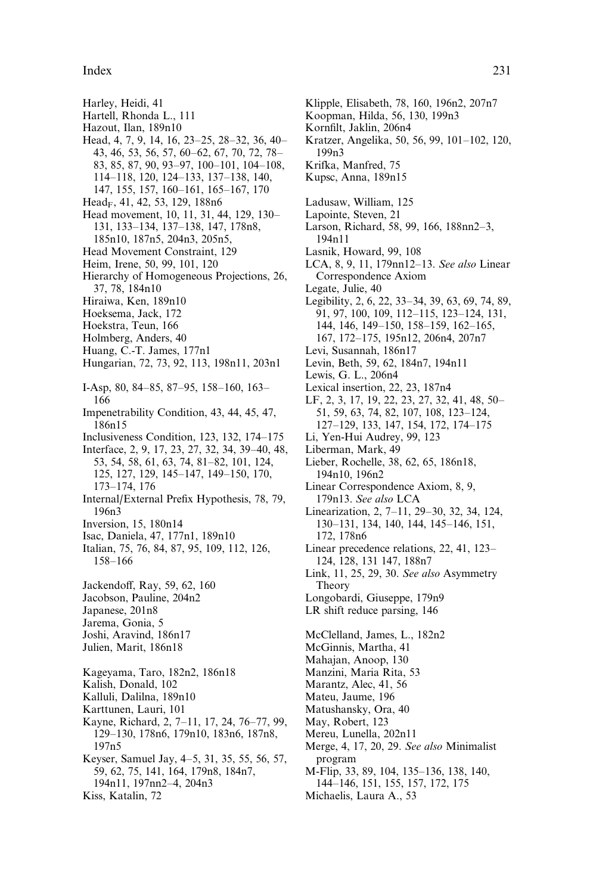Index 231

- Harley, Heidi, 41
- Hartell, Rhonda L., 111
- Hazout, Ilan, 189n10
- Head, 4, 7, 9, 14, 16, 23–25, 28–32, 36, 40– 43, 46, 53, 56, 57, 60–62, 67, 70, 72, 78– 83, 85, 87, 90, 93–97, 100–101, 104–108, 114–118, 120, 124–133, 137–138, 140, 147, 155, 157, 160–161, 165–167, 170
- Head<sub>F</sub>, 41, 42, 53, 129, 188n6
- Head movement, 10, 11, 31, 44, 129, 130– 131, 133–134, 137–138, 147, 178n8, 185n10, 187n5, 204n3, 205n5,
- Head Movement Constraint, 129
- Heim, Irene, 50, 99, 101, 120
- Hierarchy of Homogeneous Projections, 26, 37, 78, 184n10
- Hiraiwa, Ken, 189n10
- Hoeksema, Jack, 172
- Hoekstra, Teun, 166
- Holmberg, Anders, 40
- Huang, C.-T. James, 177n1
- Hungarian, 72, 73, 92, 113, 198n11, 203n1
- I-Asp, 80, 84–85, 87–95, 158–160, 163– 166
- Impenetrability Condition, 43, 44, 45, 47, 186n15
- Inclusiveness Condition, 123, 132, 174–175
- Interface, 2, 9, 17, 23, 27, 32, 34, 39–40, 48, 53, 54, 58, 61, 63, 74, 81–82, 101, 124, 125, 127, 129, 145–147, 149–150, 170, 173–174, 176
- Internal/External Prefix Hypothesis, 78, 79, 196n3
- Inversion, 15, 180n14
- Isac, Daniela, 47, 177n1, 189n10
- Italian, 75, 76, 84, 87, 95, 109, 112, 126, 158–166
- Jackendoff, Ray, 59, 62, 160
- Jacobson, Pauline, 204n2
- Japanese, 201n8
- Jarema, Gonia, 5
- Joshi, Aravind, 186n17
- Julien, Marit, 186n18
- Kageyama, Taro, 182n2, 186n18
- Kalish, Donald, 102
- Kalluli, Dalilna, 189n10
- Karttunen, Lauri, 101
- Kayne, Richard, 2, 7–11, 17, 24, 76–77, 99, 129–130, 178n6, 179n10, 183n6, 187n8, 197n5 Keyser, Samuel Jay, 4–5, 31, 35, 55, 56, 57,
- 59, 62, 75, 141, 164, 179n8, 184n7, 194n11, 197nn2–4, 204n3
- Kiss, Katalin, 72
- Klipple, Elisabeth, 78, 160, 196n2, 207n7
- Koopman, Hilda, 56, 130, 199n3
- Kornfilt, Jaklin, 206n4
- Kratzer, Angelika, 50, 56, 99, 101–102, 120, 199n3
- Krifka, Manfred, 75
- Kupsc, Anna, 189n15
- Ladusaw, William, 125
- Lapointe, Steven, 21
- Larson, Richard, 58, 99, 166, 188nn2–3, 194n11
- Lasnik, Howard, 99, 108
- LCA, 8, 9, 11, 179nn12–13. See also Linear Correspondence Axiom
- Legate, Julie, 40
- Legibility, 2, 6, 22, 33–34, 39, 63, 69, 74, 89, 91, 97, 100, 109, 112–115, 123–124, 131, 144, 146, 149–150, 158–159, 162–165, 167, 172–175, 195n12, 206n4, 207n7
- Levi, Susannah, 186n17
- Levin, Beth, 59, 62, 184n7, 194n11
- Lewis, G. L., 206n4
- Lexical insertion, 22, 23, 187n4
- LF, 2, 3, 17, 19, 22, 23, 27, 32, 41, 48, 50– 51, 59, 63, 74, 82, 107, 108, 123–124, 127–129, 133, 147, 154, 172, 174–175
- Li, Yen-Hui Audrey, 99, 123
- Liberman, Mark, 49
- Lieber, Rochelle, 38, 62, 65, 186n18, 194n10, 196n2
- Linear Correspondence Axiom, 8, 9, 179n13. See also LCA
- Linearization, 2, 7–11, 29–30, 32, 34, 124, 130–131, 134, 140, 144, 145–146, 151, 172, 178n6
- Linear precedence relations, 22, 41, 123– 124, 128, 131 147, 188n7
- Link, 11, 25, 29, 30. See also Asymmetry Theory
- Longobardi, Giuseppe, 179n9
- LR shift reduce parsing, 146
- McClelland, James, L., 182n2
- McGinnis, Martha, 41
- Mahajan, Anoop, 130
- Manzini, Maria Rita, 53
- Marantz, Alec, 41, 56
- Mateu, Jaume, 196
- Matushansky, Ora, 40
- May, Robert, 123
- Mereu, Lunella, 202n11
- Merge, 4, 17, 20, 29. See also Minimalist program
- M-Flip, 33, 89, 104, 135–136, 138, 140, 144–146, 151, 155, 157, 172, 175
- Michaelis, Laura A., 53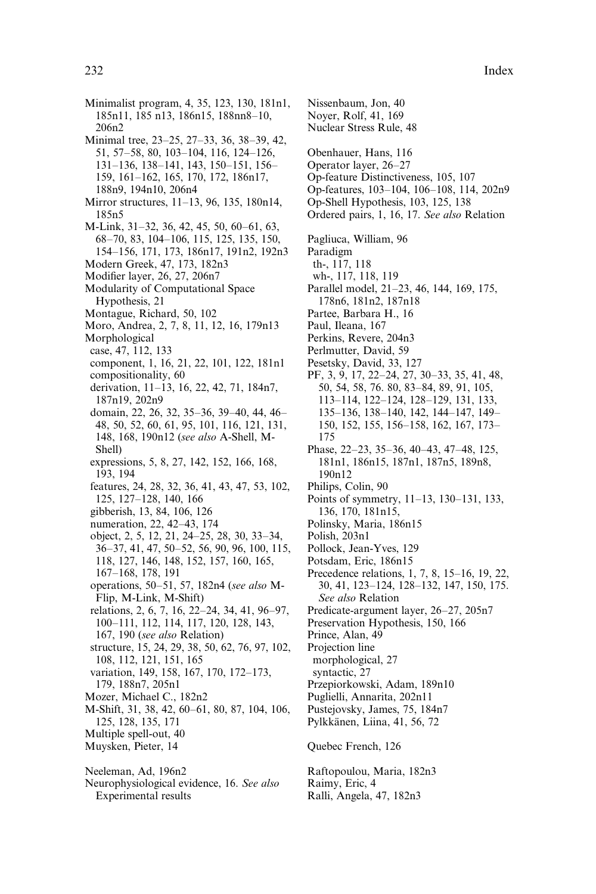Minimalist program, 4, 35, 123, 130, 181n1, 185n11, 185 n13, 186n15, 188nn8–10, 206n2 Minimal tree, 23–25, 27–33, 36, 38–39, 42, 51, 57–58, 80, 103–104, 116, 124–126, 131–136, 138–141, 143, 150–151, 156– 159, 161–162, 165, 170, 172, 186n17, 188n9, 194n10, 206n4 Mirror structures, 11–13, 96, 135, 180n14, 185n5 M-Link, 31–32, 36, 42, 45, 50, 60–61, 63, 68–70, 83, 104–106, 115, 125, 135, 150, 154–156, 171, 173, 186n17, 191n2, 192n3 Modern Greek, 47, 173, 182n3 Modifier layer, 26, 27, 206n7 Modularity of Computational Space Hypothesis, 21 Montague, Richard, 50, 102 Moro, Andrea, 2, 7, 8, 11, 12, 16, 179n13 Morphological case, 47, 112, 133 component, 1, 16, 21, 22, 101, 122, 181n1 compositionality, 60 derivation, 11–13, 16, 22, 42, 71, 184n7, 187n19, 202n9 domain, 22, 26, 32, 35–36, 39–40, 44, 46– 48, 50, 52, 60, 61, 95, 101, 116, 121, 131, 148, 168, 190n12 (see also A-Shell, M-Shell) expressions, 5, 8, 27, 142, 152, 166, 168, 193, 194 features, 24, 28, 32, 36, 41, 43, 47, 53, 102, 125, 127–128, 140, 166 gibberish, 13, 84, 106, 126 numeration, 22, 42–43, 174 object, 2, 5, 12, 21, 24–25, 28, 30, 33–34, 36–37, 41, 47, 50–52, 56, 90, 96, 100, 115, 118, 127, 146, 148, 152, 157, 160, 165, 167–168, 178, 191 operations, 50–51, 57, 182n4 (see also M-Flip, M-Link, M-Shift) relations, 2, 6, 7, 16, 22–24, 34, 41, 96–97, 100–111, 112, 114, 117, 120, 128, 143, 167, 190 (see also Relation) structure, 15, 24, 29, 38, 50, 62, 76, 97, 102, 108, 112, 121, 151, 165 variation, 149, 158, 167, 170, 172–173, 179, 188n7, 205n1 Mozer, Michael C., 182n2 M-Shift, 31, 38, 42, 60–61, 80, 87, 104, 106, 125, 128, 135, 171 Multiple spell-out, 40 Muysken, Pieter, 14 Neeleman, Ad, 196n2

Neurophysiological evidence, 16. See also Experimental results

Nissenbaum, Jon, 40 Noyer, Rolf, 41, 169 Nuclear Stress Rule, 48 Obenhauer, Hans, 116 Operator layer, 26–27 Op-feature Distinctiveness, 105, 107 Op-features, 103–104, 106–108, 114, 202n9 Op-Shell Hypothesis, 103, 125, 138 Ordered pairs, 1, 16, 17. See also Relation Pagliuca, William, 96 Paradigm th-, 117, 118 wh-, 117, 118, 119 Parallel model, 21–23, 46, 144, 169, 175, 178n6, 181n2, 187n18 Partee, Barbara H., 16 Paul, Ileana, 167 Perkins, Revere, 204n3 Perlmutter, David, 59 Pesetsky, David, 33, 127 PF, 3, 9, 17, 22–24, 27, 30–33, 35, 41, 48, 50, 54, 58, 76. 80, 83–84, 89, 91, 105, 113–114, 122–124, 128–129, 131, 133, 135–136, 138–140, 142, 144–147, 149– 150, 152, 155, 156–158, 162, 167, 173– 175 Phase, 22–23, 35–36, 40–43, 47–48, 125, 181n1, 186n15, 187n1, 187n5, 189n8, 190n12 Philips, Colin, 90 Points of symmetry, 11–13, 130–131, 133, 136, 170, 181n15, Polinsky, Maria, 186n15 Polish, 203n1 Pollock, Jean-Yves, 129 Potsdam, Eric, 186n15 Precedence relations, 1, 7, 8, 15–16, 19, 22, 30, 41, 123–124, 128–132, 147, 150, 175. See also Relation Predicate-argument layer, 26–27, 205n7 Preservation Hypothesis, 150, 166 Prince, Alan, 49 Projection line morphological, 27 syntactic, 27 Przepiorkowski, Adam, 189n10 Puglielli, Annarita, 202n11 Pustejovsky, James, 75, 184n7 Pylkkänen, Liina, 41, 56, 72 Quebec French, 126

Raftopoulou, Maria, 182n3 Raimy, Eric, 4 Ralli, Angela, 47, 182n3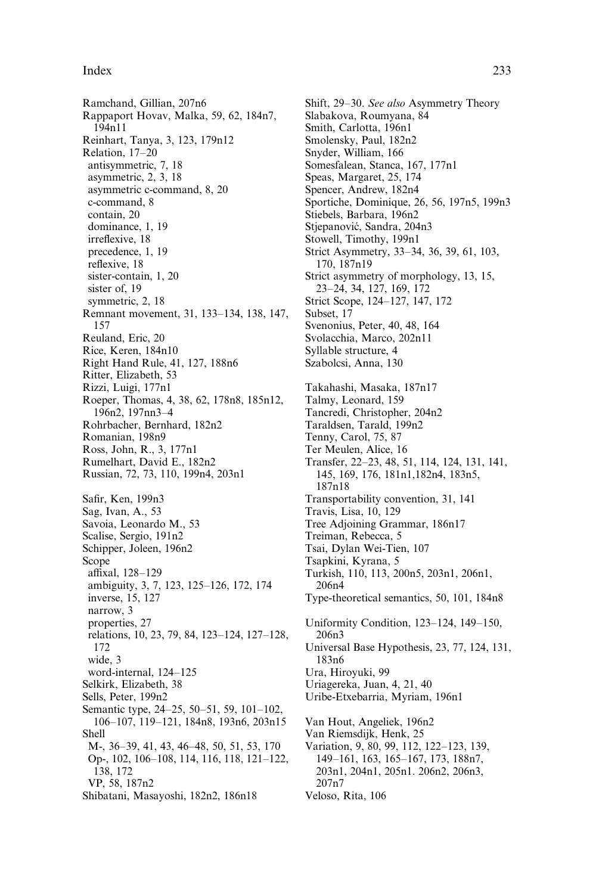## Index 233

Ramchand, Gillian, 207n6 Rappaport Hovav, Malka, 59, 62, 184n7, 194n11 Reinhart, Tanya, 3, 123, 179n12 Relation, 17–20 antisymmetric, 7, 18 asymmetric, 2, 3, 18 asymmetric c-command, 8, 20 c-command, 8 contain, 20 dominance, 1, 19 irreflexive, 18 precedence, 1, 19 reflexive, 18 sister-contain, 1, 20 sister of, 19 symmetric, 2, 18 Remnant movement, 31, 133–134, 138, 147, 157 Reuland, Eric, 20 Rice, Keren, 184n10 Right Hand Rule, 41, 127, 188n6 Ritter, Elizabeth, 53 Rizzi, Luigi, 177n1 Roeper, Thomas, 4, 38, 62, 178n8, 185n12, 196n2, 197nn3–4 Rohrbacher, Bernhard, 182n2 Romanian, 198n9 Ross, John, R., 3, 177n1 Rumelhart, David E., 182n2 Russian, 72, 73, 110, 199n4, 203n1 Safir, Ken, 199n3 Sag, Ivan, A., 53 Savoia, Leonardo M., 53 Scalise, Sergio, 191n2 Schipper, Joleen, 196n2 Scope affixal, 128-129 ambiguity, 3, 7, 123, 125–126, 172, 174 inverse, 15, 127 narrow, 3 properties, 27 relations, 10, 23, 79, 84, 123–124, 127–128, 172 wide, 3 word-internal, 124–125 Selkirk, Elizabeth, 38 Sells, Peter, 199n2 Semantic type, 24–25, 50–51, 59, 101–102, 106–107, 119–121, 184n8, 193n6, 203n15 Shell M-, 36–39, 41, 43, 46–48, 50, 51, 53, 170 Op-, 102, 106–108, 114, 116, 118, 121–122, 138, 172 VP, 58, 187n2 Shibatani, Masayoshi, 182n2, 186n18

Shift, 29–30. See also Asymmetry Theory Slabakova, Roumyana, 84 Smith, Carlotta, 196n1 Smolensky, Paul, 182n2 Snyder, William, 166 Somesfalean, Stanca, 167, 177n1 Speas, Margaret, 25, 174 Spencer, Andrew, 182n4 Sportiche, Dominique, 26, 56, 197n5, 199n3 Stiebels, Barbara, 196n2 Stjepanović, Sandra, 204n3 Stowell, Timothy, 199n1 Strict Asymmetry, 33–34, 36, 39, 61, 103, 170, 187n19 Strict asymmetry of morphology, 13, 15, 23–24, 34, 127, 169, 172 Strict Scope, 124–127, 147, 172 Subset, 17 Svenonius, Peter, 40, 48, 164 Svolacchia, Marco, 202n11 Syllable structure, 4 Szabolcsi, Anna, 130 Takahashi, Masaka, 187n17 Talmy, Leonard, 159 Tancredi, Christopher, 204n2 Taraldsen, Tarald, 199n2 Tenny, Carol, 75, 87 Ter Meulen, Alice, 16 Transfer, 22–23, 48, 51, 114, 124, 131, 141, 145, 169, 176, 181n1,182n4, 183n5, 187n18 Transportability convention, 31, 141 Travis, Lisa, 10, 129 Tree Adjoining Grammar, 186n17 Treiman, Rebecca, 5 Tsai, Dylan Wei-Tien, 107 Tsapkini, Kyrana, 5 Turkish, 110, 113, 200n5, 203n1, 206n1, 206n4 Type-theoretical semantics, 50, 101, 184n8 Uniformity Condition, 123–124, 149–150, 206n3 Universal Base Hypothesis, 23, 77, 124, 131, 183n6 Ura, Hiroyuki, 99 Uriagereka, Juan, 4, 21, 40 Uribe-Etxebarria, Myriam, 196n1 Van Hout, Angeliek, 196n2 Van Riemsdijk, Henk, 25 Variation, 9, 80, 99, 112, 122–123, 139, 149–161, 163, 165–167, 173, 188n7, 203n1, 204n1, 205n1. 206n2, 206n3, 207n7